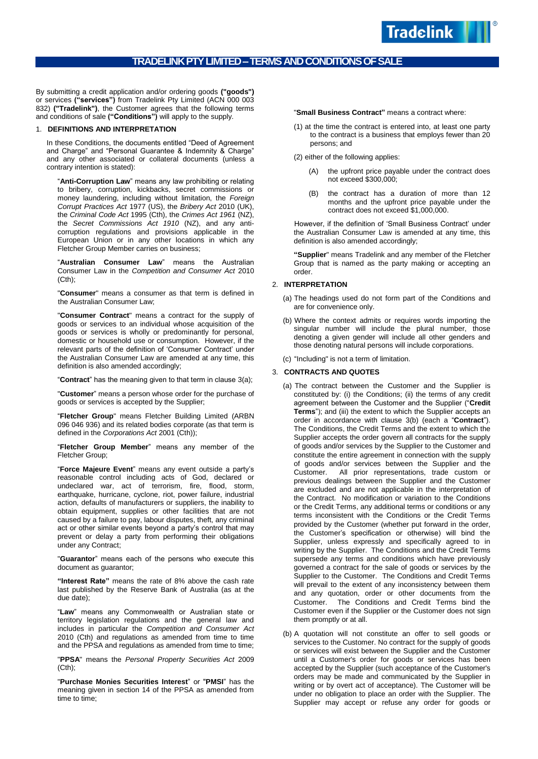By submitting a credit application and/or ordering goods **("goods")** or services **("services")** from Tradelink Pty Limited (ACN 000 003 832) **("Tradelink")**, the Customer agrees that the following terms and conditions of sale **("Conditions")** will apply to the supply.

## 1. **DEFINITIONS AND INTERPRETATION**

In these Conditions, the documents entitled "Deed of Agreement and Charge" and "Personal Guarantee & Indemnity & Charge" and any other associated or collateral documents (unless a contrary intention is stated):

"**Anti-Corruption Law**" means any law prohibiting or relating to bribery, corruption, kickbacks, secret commissions or money laundering, including without limitation, the *Foreign Corrupt Practices Act* 1977 (US), the *Bribery Act* 2010 (UK), the *Criminal Code Act* 1995 (Cth), the *Crimes Act 1961* (NZ), the *Secret Commissions Act 1910* (NZ), and any anticorruption regulations and provisions applicable in the European Union or in any other locations in which any Fletcher Group Member carries on business;

"**Australian Consumer Law**" means the Australian Consumer Law in the *Competition and Consumer Act* 2010 (Cth);

"**Consumer**" means a consumer as that term is defined in the Australian Consumer Law;

"**Consumer Contract**" means a contract for the supply of goods or services to an individual whose acquisition of the goods or services is wholly or predominantly for personal, domestic or household use or consumption. However, if the relevant parts of the definition of 'Consumer Contract' under the Australian Consumer Law are amended at any time, this definition is also amended accordingly;

"**Contract**" has the meaning given to that term in claus[e 3\(a\);](#page-0-0)

"**Customer**" means a person whose order for the purchase of goods or services is accepted by the Supplier;

"**Fletcher Group**" means Fletcher Building Limited (ARBN 096 046 936) and its related bodies corporate (as that term is defined in the *Corporations Act* 2001 (Cth));

"**Fletcher Group Member**" means any member of the Fletcher Group;

"**Force Majeure Event**" means any event outside a party's reasonable control including acts of God, declared or undeclared war, act of terrorism, fire, flood, storm, earthquake, hurricane, cyclone, riot, power failure, industrial action, defaults of manufacturers or suppliers, the inability to obtain equipment, supplies or other facilities that are not caused by a failure to pay, labour disputes, theft, any criminal act or other similar events beyond a party's control that may prevent or delay a party from performing their obligations under any Contract;

"**Guarantor**" means each of the persons who execute this document as guarantor;

**"Interest Rate"** means the rate of 8% above the cash rate last published by the Reserve Bank of Australia (as at the due date);

"**Law**" means any Commonwealth or Australian state or territory legislation regulations and the general law and includes in particular the *Competition and Consumer Act* 2010 (Cth) and regulations as amended from time to time and the PPSA and regulations as amended from time to time;

"**PPSA**" means the *Personal Property Securities Act* 2009 (Cth);

"**Purchase Monies Securities Interest**" or "**PMSI**" has the meaning given in section 14 of the PPSA as amended from time to time;

"**Small Business Contract"** means a contract where:

(1) at the time the contract is entered into, at least one party to the contract is a business that employs fewer than 20 persons; and

(2) either of the following applies:

(A) the upfront price payable under the contract does not exceed \$300,000;

**Tradelink** 

(B) the contract has a duration of more than 12 months and the upfront price payable under the contract does not exceed \$1,000,000.

However, if the definition of 'Small Business Contract' under the Australian Consumer Law is amended at any time, this definition is also amended accordingly;

**"Supplier**" means Tradelink and any member of the Fletcher Group that is named as the party making or accepting an order.

# 2. **INTERPRETATION**

- (a) The headings used do not form part of the Conditions and are for convenience only.
- (b) Where the context admits or requires words importing the singular number will include the plural number, those denoting a given gender will include all other genders and those denoting natural persons will include corporations.
- (c) "Including" is not a term of limitation.

# <span id="page-0-0"></span>3. **CONTRACTS AND QUOTES**

- (a) The contract between the Customer and the Supplier is constituted by: (i) the Conditions; (ii) the terms of any credit agreement between the Customer and the Supplier ("**Credit Terms**"); and (iii) the extent to which the Supplier accepts an order in accordance with clause 3(b) (each a "**Contract**"). The Conditions, the Credit Terms and the extent to which the Supplier accepts the order govern all contracts for the supply of goods and/or services by the Supplier to the Customer and constitute the entire agreement in connection with the supply of goods and/or services between the Supplier and the Customer. All prior representations, trade custom or previous dealings between the Supplier and the Customer are excluded and are not applicable in the interpretation of the Contract. No modification or variation to the Conditions or the Credit Terms, any additional terms or conditions or any terms inconsistent with the Conditions or the Credit Terms provided by the Customer (whether put forward in the order, the Customer's specification or otherwise) will bind the Supplier, unless expressly and specifically agreed to in writing by the Supplier. The Conditions and the Credit Terms supersede any terms and conditions which have previously governed a contract for the sale of goods or services by the Supplier to the Customer. The Conditions and Credit Terms will prevail to the extent of any inconsistency between them and any quotation, order or other documents from the Customer. The Conditions and Credit Terms bind the Customer even if the Supplier or the Customer does not sign them promptly or at all.
- (b) A quotation will not constitute an offer to sell goods or services to the Customer. No contract for the supply of goods or services will exist between the Supplier and the Customer until a Customer's order for goods or services has been accepted by the Supplier (such acceptance of the Customer's orders may be made and communicated by the Supplier in writing or by overt act of acceptance). The Customer will be under no obligation to place an order with the Supplier. The Supplier may accept or refuse any order for goods or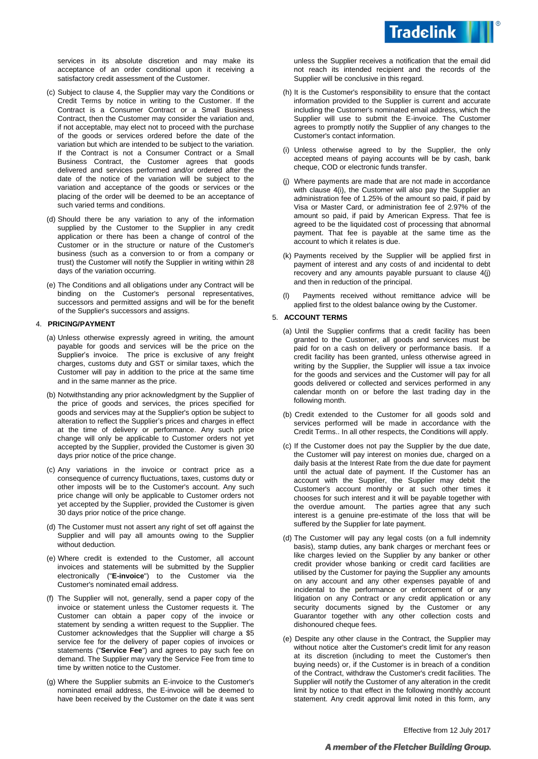

services in its absolute discretion and may make its acceptance of an order conditional upon it receiving a satisfactory credit assessment of the Customer.

- (c) Subject to clause 4, the Supplier may vary the Conditions or Credit Terms by notice in writing to the Customer. If the Contract is a Consumer Contract or a Small Business Contract, then the Customer may consider the variation and, if not acceptable, may elect not to proceed with the purchase of the goods or services ordered before the date of the variation but which are intended to be subject to the variation. If the Contract is not a Consumer Contract or a Small Business Contract, the Customer agrees that goods delivered and services performed and/or ordered after the date of the notice of the variation will be subject to the variation and acceptance of the goods or services or the placing of the order will be deemed to be an acceptance of such varied terms and conditions.
- (d) Should there be any variation to any of the information supplied by the Customer to the Supplier in any credit application or there has been a change of control of the Customer or in the structure or nature of the Customer's business (such as a conversion to or from a company or trust) the Customer will notify the Supplier in writing within 28 days of the variation occurring.
- (e) The Conditions and all obligations under any Contract will be binding on the Customer's personal representatives, successors and permitted assigns and will be for the benefit of the Supplier's successors and assigns.

# 4. **PRICING/PAYMENT**

- (a) Unless otherwise expressly agreed in writing, the amount payable for goods and services will be the price on the Supplier's invoice. The price is exclusive of any freight charges, customs duty and GST or similar taxes, which the Customer will pay in addition to the price at the same time and in the same manner as the price.
- (b) Notwithstanding any prior acknowledgment by the Supplier of the price of goods and services, the prices specified for goods and services may at the Supplier's option be subject to alteration to reflect the Supplier's prices and charges in effect at the time of delivery or performance. Any such price change will only be applicable to Customer orders not yet accepted by the Supplier, provided the Customer is given 30 days prior notice of the price change.
- (c) Any variations in the invoice or contract price as a consequence of currency fluctuations, taxes, customs duty or other imposts will be to the Customer's account. Any such price change will only be applicable to Customer orders not yet accepted by the Supplier, provided the Customer is given 30 days prior notice of the price change.
- (d) The Customer must not assert any right of set off against the Supplier and will pay all amounts owing to the Supplier without deduction.
- (e) Where credit is extended to the Customer, all account invoices and statements will be submitted by the Supplier electronically ("**E-invoice**") to the Customer via the Customer's nominated email address.
- (f) The Supplier will not, generally, send a paper copy of the invoice or statement unless the Customer requests it. The Customer can obtain a paper copy of the invoice or statement by sending a written request to the Supplier. The Customer acknowledges that the Supplier will charge a \$5 service fee for the delivery of paper copies of invoices or statements ("**Service Fee**") and agrees to pay such fee on demand. The Supplier may vary the Service Fee from time to time by written notice to the Customer.
- (g) Where the Supplier submits an E-invoice to the Customer's nominated email address, the E-invoice will be deemed to have been received by the Customer on the date it was sent

unless the Supplier receives a notification that the email did not reach its intended recipient and the records of the Supplier will be conclusive in this regard.

- (h) It is the Customer's responsibility to ensure that the contact information provided to the Supplier is current and accurate including the Customer's nominated email address, which the Supplier will use to submit the E-invoice. The Customer agrees to promptly notify the Supplier of any changes to the Customer's contact information.
- (i) Unless otherwise agreed to by the Supplier, the only accepted means of paying accounts will be by cash, bank cheque, COD or electronic funds transfer.
- <span id="page-1-0"></span>(j) Where payments are made that are not made in accordance with clause 4(i), the Customer will also pay the Supplier an administration fee of 1.25% of the amount so paid, if paid by Visa or Master Card, or administration fee of 2.97% of the amount so paid, if paid by American Express. That fee is agreed to be the liquidated cost of processing that abnormal payment. That fee is payable at the same time as the account to which it relates is due.
- (k) Payments received by the Supplier will be applied first in payment of interest and any costs of and incidental to debt recovery and any amounts payable pursuant to clause [4\(j\)](#page-1-0) and then in reduction of the principal.
- Payments received without remittance advice will be applied first to the oldest balance owing by the Customer.

### 5. **ACCOUNT TERMS**

- (a) Until the Supplier confirms that a credit facility has been granted to the Customer, all goods and services must be paid for on a cash on delivery or performance basis. If a credit facility has been granted, unless otherwise agreed in writing by the Supplier, the Supplier will issue a tax invoice for the goods and services and the Customer will pay for all goods delivered or collected and services performed in any calendar month on or before the last trading day in the following month.
- (b) Credit extended to the Customer for all goods sold and services performed will be made in accordance with the Credit Terms.. In all other respects, the Conditions will apply.
- (c) If the Customer does not pay the Supplier by the due date, the Customer will pay interest on monies due, charged on a daily basis at the Interest Rate from the due date for payment until the actual date of payment. If the Customer has an account with the Supplier, the Supplier may debit the Customer's account monthly or at such other times it chooses for such interest and it will be payable together with the overdue amount. The parties agree that any such interest is a genuine pre-estimate of the loss that will be suffered by the Supplier for late payment.
- (d) The Customer will pay any legal costs (on a full indemnity basis), stamp duties, any bank charges or merchant fees or like charges levied on the Supplier by any banker or other credit provider whose banking or credit card facilities are utilised by the Customer for paying the Supplier any amounts on any account and any other expenses payable of and incidental to the performance or enforcement of or any litigation on any Contract or any credit application or any security documents signed by the Customer or any Guarantor together with any other collection costs and dishonoured cheque fees.
- (e) Despite any other clause in the Contract, the Supplier may without notice alter the Customer's credit limit for any reason at its discretion (including to meet the Customer's then buying needs) or, if the Customer is in breach of a condition of the Contract, withdraw the Customer's credit facilities. The Supplier will notify the Customer of any alteration in the credit limit by notice to that effect in the following monthly account statement. Any credit approval limit noted in this form, any

Effective from 12 July 2017

# A member of the Fletcher Building Group.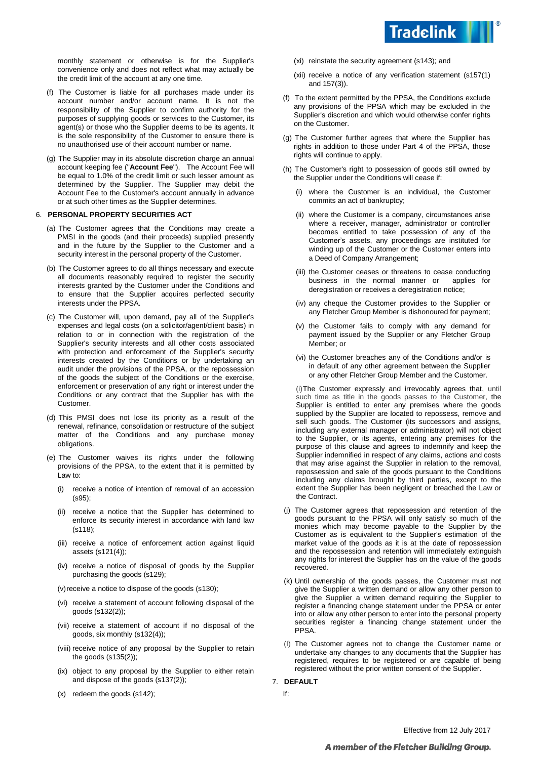

monthly statement or otherwise is for the Supplier's convenience only and does not reflect what may actually be the credit limit of the account at any one time.

- (f) The Customer is liable for all purchases made under its account number and/or account name. It is not the responsibility of the Supplier to confirm authority for the purposes of supplying goods or services to the Customer, its agent(s) or those who the Supplier deems to be its agents. It is the sole responsibility of the Customer to ensure there is no unauthorised use of their account number or name.
- (g) The Supplier may in its absolute discretion charge an annual account keeping fee ("**Account Fee**"). The Account Fee will be equal to 1.0% of the credit limit or such lesser amount as determined by the Supplier. The Supplier may debit the Account Fee to the Customer's account annually in advance or at such other times as the Supplier determines.

### 6. **PERSONAL PROPERTY SECURITIES ACT**

- (a) The Customer agrees that the Conditions may create a PMSI in the goods (and their proceeds) supplied presently and in the future by the Supplier to the Customer and a security interest in the personal property of the Customer.
- (b) The Customer agrees to do all things necessary and execute all documents reasonably required to register the security interests granted by the Customer under the Conditions and to ensure that the Supplier acquires perfected security interests under the PPSA.
- (c) The Customer will, upon demand, pay all of the Supplier's expenses and legal costs (on a solicitor/agent/client basis) in relation to or in connection with the registration of the Supplier's security interests and all other costs associated with protection and enforcement of the Supplier's security interests created by the Conditions or by undertaking an audit under the provisions of the PPSA, or the repossession of the goods the subject of the Conditions or the exercise, enforcement or preservation of any right or interest under the Conditions or any contract that the Supplier has with the Customer.
- (d) This PMSI does not lose its priority as a result of the renewal, refinance, consolidation or restructure of the subject matter of the Conditions and any purchase money obligations.
- (e) The Customer waives its rights under the following provisions of the PPSA, to the extent that it is permitted by Law to:
	- (i) receive a notice of intention of removal of an accession (s95);
	- (ii) receive a notice that the Supplier has determined to enforce its security interest in accordance with land law (s118);
	- (iii) receive a notice of enforcement action against liquid assets (s121(4));
	- (iv) receive a notice of disposal of goods by the Supplier purchasing the goods (s129);

(v) receive a notice to dispose of the goods (s130);

- (vi) receive a statement of account following disposal of the goods (s132(2));
- (vii) receive a statement of account if no disposal of the goods, six monthly (s132(4));
- (viii) receive notice of any proposal by the Supplier to retain the goods (s135(2));
- (ix) object to any proposal by the Supplier to either retain and dispose of the goods (s137(2));
- (x) redeem the goods (s142);
- (xi) reinstate the security agreement (s143); and
- (xii) receive a notice of any verification statement (s157(1) and 157(3)).
- (f) To the extent permitted by the PPSA, the Conditions exclude any provisions of the PPSA which may be excluded in the Supplier's discretion and which would otherwise confer rights on the Customer.
- (g) The Customer further agrees that where the Supplier has rights in addition to those under Part 4 of the PPSA, those rights will continue to apply.
- (h) The Customer's right to possession of goods still owned by the Supplier under the Conditions will cease if:
	- (i) where the Customer is an individual, the Customer commits an act of bankruptcy;
	- (ii) where the Customer is a company, circumstances arise where a receiver, manager, administrator or controller becomes entitled to take possession of any of the Customer's assets, any proceedings are instituted for winding up of the Customer or the Customer enters into a Deed of Company Arrangement;
	- (iii) the Customer ceases or threatens to cease conducting business in the normal manner or applies for deregistration or receives a deregistration notice;
	- (iv) any cheque the Customer provides to the Supplier or any Fletcher Group Member is dishonoured for payment;
	- (v) the Customer fails to comply with any demand for payment issued by the Supplier or any Fletcher Group Member; or
	- (vi) the Customer breaches any of the Conditions and/or is in default of any other agreement between the Supplier or any other Fletcher Group Member and the Customer.

(i)The Customer expressly and irrevocably agrees that, until such time as title in the goods passes to the Customer, the Supplier is entitled to enter any premises where the goods supplied by the Supplier are located to repossess, remove and sell such goods. The Customer (its successors and assigns, including any external manager or administrator) will not object to the Supplier, or its agents, entering any premises for the purpose of this clause and agrees to indemnify and keep the Supplier indemnified in respect of any claims, actions and costs that may arise against the Supplier in relation to the removal, repossession and sale of the goods pursuant to the Conditions including any claims brought by third parties, except to the extent the Supplier has been negligent or breached the Law or the Contract.

- (j) The Customer agrees that repossession and retention of the goods pursuant to the PPSA will only satisfy so much of the monies which may become payable to the Supplier by the Customer as is equivalent to the Supplier's estimation of the market value of the goods as it is at the date of repossession and the repossession and retention will immediately extinguish any rights for interest the Supplier has on the value of the goods recovered.
- (k) Until ownership of the goods passes, the Customer must not give the Supplier a written demand or allow any other person to give the Supplier a written demand requiring the Supplier to register a financing change statement under the PPSA or enter into or allow any other person to enter into the personal property securities register a financing change statement under the PPSA.
- (I) The Customer agrees not to change the Customer name or undertake any changes to any documents that the Supplier has registered, requires to be registered or are capable of being registered without the prior written consent of the Supplier.

## 7. **DEFAULT**

If: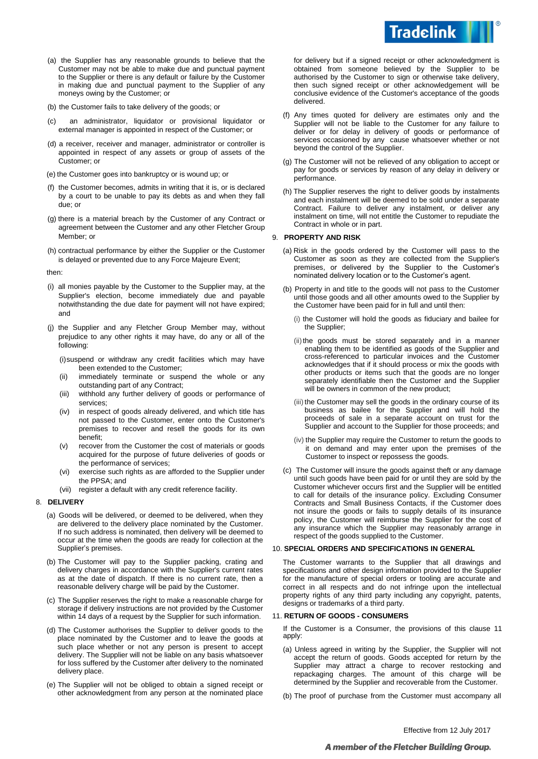

- (a) the Supplier has any reasonable grounds to believe that the Customer may not be able to make due and punctual payment to the Supplier or there is any default or failure by the Customer in making due and punctual payment to the Supplier of any moneys owing by the Customer; or
- (b) the Customer fails to take delivery of the goods; or
- (c) an administrator, liquidator or provisional liquidator or external manager is appointed in respect of the Customer; or
- (d) a receiver, receiver and manager, administrator or controller is appointed in respect of any assets or group of assets of the Customer; or
- (e) the Customer goes into bankruptcy or is wound up; or
- (f) the Customer becomes, admits in writing that it is, or is declared by a court to be unable to pay its debts as and when they fall due; or
- (g) there is a material breach by the Customer of any Contract or agreement between the Customer and any other Fletcher Group Member; or
- (h) contractual performance by either the Supplier or the Customer is delayed or prevented due to any Force Majeure Event;

then:

- (i) all monies payable by the Customer to the Supplier may, at the Supplier's election, become immediately due and payable notwithstanding the due date for payment will not have expired; and
- (j) the Supplier and any Fletcher Group Member may, without prejudice to any other rights it may have, do any or all of the following:
	- (i)suspend or withdraw any credit facilities which may have been extended to the Customer;
	- (ii) immediately terminate or suspend the whole or any outstanding part of any Contract;
	- (iii) withhold any further delivery of goods or performance of services;
	- (iv) in respect of goods already delivered, and which title has not passed to the Customer, enter onto the Customer's premises to recover and resell the goods for its own benefit;
	- (v) recover from the Customer the cost of materials or goods acquired for the purpose of future deliveries of goods or the performance of services;
	- (vi) exercise such rights as are afforded to the Supplier under the PPSA; and
	- (vii) register a default with any credit reference facility.

#### 8. **DELIVERY**

- (a) Goods will be delivered, or deemed to be delivered, when they are delivered to the delivery place nominated by the Customer. If no such address is nominated, then delivery will be deemed to occur at the time when the goods are ready for collection at the Supplier's premises.
- (b) The Customer will pay to the Supplier packing, crating and delivery charges in accordance with the Supplier's current rates as at the date of dispatch. If there is no current rate, then a reasonable delivery charge will be paid by the Customer.
- (c) The Supplier reserves the right to make a reasonable charge for storage if delivery instructions are not provided by the Customer within 14 days of a request by the Supplier for such information.
- (d) The Customer authorises the Supplier to deliver goods to the place nominated by the Customer and to leave the goods at such place whether or not any person is present to accept delivery. The Supplier will not be liable on any basis whatsoever for loss suffered by the Customer after delivery to the nominated delivery place.
- (e) The Supplier will not be obliged to obtain a signed receipt or other acknowledgment from any person at the nominated place

for delivery but if a signed receipt or other acknowledgment is obtained from someone believed by the Supplier to be authorised by the Customer to sign or otherwise take delivery, then such signed receipt or other acknowledgement will be conclusive evidence of the Customer's acceptance of the goods delivered.

- (f) Any times quoted for delivery are estimates only and the Supplier will not be liable to the Customer for any failure to deliver or for delay in delivery of goods or performance of services occasioned by any cause whatsoever whether or not beyond the control of the Supplier.
- (g) The Customer will not be relieved of any obligation to accept or pay for goods or services by reason of any delay in delivery or performance.
- (h) The Supplier reserves the right to deliver goods by instalments and each instalment will be deemed to be sold under a separate Contract. Failure to deliver any instalment, or deliver any instalment on time, will not entitle the Customer to repudiate the Contract in whole or in part.

### 9. **PROPERTY AND RISK**

- (a) Risk in the goods ordered by the Customer will pass to the Customer as soon as they are collected from the Supplier's premises, or delivered by the Supplier to the Customer's nominated delivery location or to the Customer's agent.
- (b) Property in and title to the goods will not pass to the Customer until those goods and all other amounts owed to the Supplier by the Customer have been paid for in full and until then:
	- (i) the Customer will hold the goods as fiduciary and bailee for the Supplier;
	- (ii) the goods must be stored separately and in a manner enabling them to be identified as goods of the Supplier and cross-referenced to particular invoices and the Customer acknowledges that if it should process or mix the goods with other products or items such that the goods are no longer separately identifiable then the Customer and the Supplier will be owners in common of the new product;
	- (iii) the Customer may sell the goods in the ordinary course of its business as bailee for the Supplier and will hold the proceeds of sale in a separate account on trust for the Supplier and account to the Supplier for those proceeds; and
	- (iv) the Supplier may require the Customer to return the goods to it on demand and may enter upon the premises of the Customer to inspect or repossess the goods.
- (c) The Customer will insure the goods against theft or any damage until such goods have been paid for or until they are sold by the Customer whichever occurs first and the Supplier will be entitled to call for details of the insurance policy. Excluding Consumer Contracts and Small Business Contacts, if the Customer does not insure the goods or fails to supply details of its insurance policy, the Customer will reimburse the Supplier for the cost of any insurance which the Supplier may reasonably arrange in respect of the goods supplied to the Customer.

#### 10. **SPECIAL ORDERS AND SPECIFICATIONS IN GENERAL**

The Customer warrants to the Supplier that all drawings and specifications and other design information provided to the Supplier for the manufacture of special orders or tooling are accurate and correct in all respects and do not infringe upon the intellectual property rights of any third party including any copyright, patents, designs or trademarks of a third party.

### 11. **RETURN OF GOODS - CONSUMERS**

If the Customer is a Consumer, the provisions of this clause 11 apply:

- (a) Unless agreed in writing by the Supplier, the Supplier will not accept the return of goods. Goods accepted for return by the Supplier may attract a charge to recover restocking and repackaging charges. The amount of this charge will be determined by the Supplier and recoverable from the Customer.
- (b) The proof of purchase from the Customer must accompany all

# A member of the Fletcher Building Group.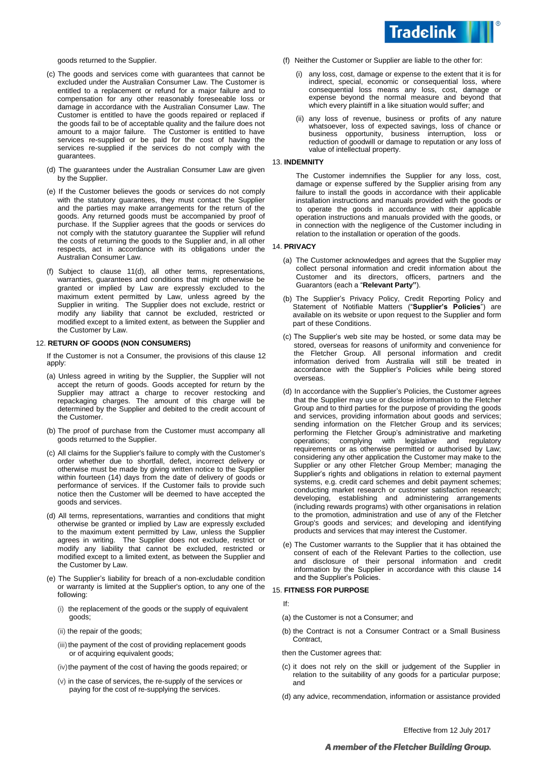

goods returned to the Supplier.

- (c) The goods and services come with guarantees that cannot be excluded under the Australian Consumer Law. The Customer is entitled to a replacement or refund for a major failure and to compensation for any other reasonably foreseeable loss or damage in accordance with the Australian Consumer Law. The Customer is entitled to have the goods repaired or replaced if the goods fail to be of acceptable quality and the failure does not amount to a major failure. The Customer is entitled to have services re-supplied or be paid for the cost of having the services re-supplied if the services do not comply with the guarantees.
- (d) The guarantees under the Australian Consumer Law are given by the Supplier.
- (e) If the Customer believes the goods or services do not comply with the statutory guarantees, they must contact the Supplier and the parties may make arrangements for the return of the goods. Any returned goods must be accompanied by proof of purchase. If the Supplier agrees that the goods or services do not comply with the statutory guarantee the Supplier will refund the costs of returning the goods to the Supplier and, in all other respects, act in accordance with its obligations under the Australian Consumer Law.
- (f) Subject to clause 11(d), all other terms, representations, warranties, guarantees and conditions that might otherwise be granted or implied by Law are expressly excluded to the maximum extent permitted by Law, unless agreed by the Supplier in writing. The Supplier does not exclude, restrict or modify any liability that cannot be excluded, restricted or modified except to a limited extent, as between the Supplier and the Customer by Law.

#### <span id="page-4-0"></span>12. **RETURN OF GOODS (NON CONSUMERS)**

If the Customer is not a Consumer, the provisions of this clause [12](#page-4-0) apply:

- (a) Unless agreed in writing by the Supplier, the Supplier will not accept the return of goods. Goods accepted for return by the Supplier may attract a charge to recover restocking and repackaging charges. The amount of this charge will be determined by the Supplier and debited to the credit account of the Customer.
- (b) The proof of purchase from the Customer must accompany all goods returned to the Supplier.
- (c) All claims for the Supplier's failure to comply with the Customer's order whether due to shortfall, defect, incorrect delivery or otherwise must be made by giving written notice to the Supplier within fourteen (14) days from the date of delivery of goods or performance of services. If the Customer fails to provide such notice then the Customer will be deemed to have accepted the goods and services.
- (d) All terms, representations, warranties and conditions that might otherwise be granted or implied by Law are expressly excluded to the maximum extent permitted by Law, unless the Supplier agrees in writing. The Supplier does not exclude, restrict or modify any liability that cannot be excluded, restricted or modified except to a limited extent, as between the Supplier and the Customer by Law.
- (e) The Supplier's liability for breach of a non-excludable condition or warranty is limited at the Supplier's option, to any one of the following:
	- (i) the replacement of the goods or the supply of equivalent goods;
	- (ii) the repair of the goods;
	- (iii) the payment of the cost of providing replacement goods or of acquiring equivalent goods;
	- (iv) the payment of the cost of having the goods repaired; or
	- (v) in the case of services, the re-supply of the services or paying for the cost of re-supplying the services.
- (f) Neither the Customer or Supplier are liable to the other for:
	- (i) any loss, cost, damage or expense to the extent that it is for indirect, special, economic or consequential loss, where consequential loss means any loss, cost, damage or expense beyond the normal measure and beyond that which every plaintiff in a like situation would suffer; and
	- (ii) any loss of revenue, business or profits of any nature whatsoever, loss of expected savings, loss of chance or business opportunity, business interruption, loss or reduction of goodwill or damage to reputation or any loss of value of intellectual property.

# 13. **INDEMNITY**

The Customer indemnifies the Supplier for any loss, cost, damage or expense suffered by the Supplier arising from any failure to install the goods in accordance with their applicable installation instructions and manuals provided with the goods or to operate the goods in accordance with their applicable operation instructions and manuals provided with the goods, or in connection with the negligence of the Customer including in relation to the installation or operation of the goods.

### 14. **PRIVACY**

- (a) The Customer acknowledges and agrees that the Supplier may collect personal information and credit information about the Customer and its directors, officers, partners and the Guarantors (each a "**Relevant Party"**).
- (b) The Supplier's Privacy Policy, Credit Reporting Policy and Statement of Notifiable Matters ("**Supplier's Policies**") are available on its website or upon request to the Supplier and form part of these Conditions.
- (c) The Supplier's web site may be hosted, or some data may be stored, overseas for reasons of uniformity and convenience for the Fletcher Group. All personal information and credit information derived from Australia will still be treated in accordance with the Supplier's Policies while being stored overseas.
- (d) In accordance with the Supplier's Policies, the Customer agrees that the Supplier may use or disclose information to the Fletcher Group and to third parties for the purpose of providing the goods and services, providing information about goods and services; sending information on the Fletcher Group and its services; performing the Fletcher Group's administrative and marketing operations; complying with legislative and regulatory operations; complying with legislative and regulatory requirements or as otherwise permitted or authorised by Law; considering any other application the Customer may make to the Supplier or any other Fletcher Group Member; managing the Supplier's rights and obligations in relation to external payment systems, e.g. credit card schemes and debit payment schemes; conducting market research or customer satisfaction research; developing, establishing and administering arrangements (including rewards programs) with other organisations in relation to the promotion, administration and use of any of the Fletcher Group's goods and services; and developing and identifying products and services that may interest the Customer.
- (e) The Customer warrants to the Supplier that it has obtained the consent of each of the Relevant Parties to the collection, use and disclosure of their personal information and credit information by the Supplier in accordance with this clause 14 and the Supplier's Policies.

# 15. **FITNESS FOR PURPOSE**

If:

- (a) the Customer is not a Consumer; and
- (b) the Contract is not a Consumer Contract or a Small Business Contract,

then the Customer agrees that:

- (c) it does not rely on the skill or judgement of the Supplier in relation to the suitability of any goods for a particular purpose; and
- (d) any advice, recommendation, information or assistance provided